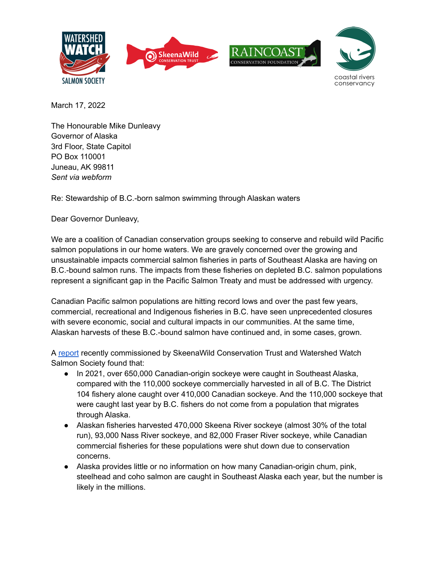



March 17, 2022

The Honourable Mike Dunleavy Governor of Alaska 3rd Floor, State Capitol PO Box 110001 Juneau, AK 99811 *Sent via webform*

Re: Stewardship of B.C.-born salmon swimming through Alaskan waters

Dear Governor Dunleavy,

We are a coalition of Canadian conservation groups seeking to conserve and rebuild wild Pacific salmon populations in our home waters. We are gravely concerned over the growing and unsustainable impacts commercial salmon fisheries in parts of Southeast Alaska are having on B.C.-bound salmon runs. The impacts from these fisheries on depleted B.C. salmon populations represent a significant gap in the Pacific Salmon Treaty and must be addressed with urgency.

Canadian Pacific salmon populations are hitting record lows and over the past few years, commercial, recreational and Indigenous fisheries in B.C. have seen unprecedented closures with severe economic, social and cultural impacts in our communities. At the same time, Alaskan harvests of these B.C.-bound salmon have continued and, in some cases, grown.

A [report](https://www.mccpacific.org/2022/01/southeastern-alaska-catch-of-bc-salmon-summary-and-reports/) recently commissioned by SkeenaWild Conservation Trust and Watershed Watch Salmon Society found that:

- In 2021, over 650,000 Canadian-origin sockeye were caught in Southeast Alaska, compared with the 110,000 sockeye commercially harvested in all of B.C. The District 104 fishery alone caught over 410,000 Canadian sockeye. And the 110,000 sockeye that were caught last year by B.C. fishers do not come from a population that migrates through Alaska.
- Alaskan fisheries harvested 470,000 Skeena River sockeye (almost 30% of the total run), 93,000 Nass River sockeye, and 82,000 Fraser River sockeye, while Canadian commercial fisheries for these populations were shut down due to conservation concerns.
- Alaska provides little or no information on how many Canadian-origin chum, pink, steelhead and coho salmon are caught in Southeast Alaska each year, but the number is likely in the millions.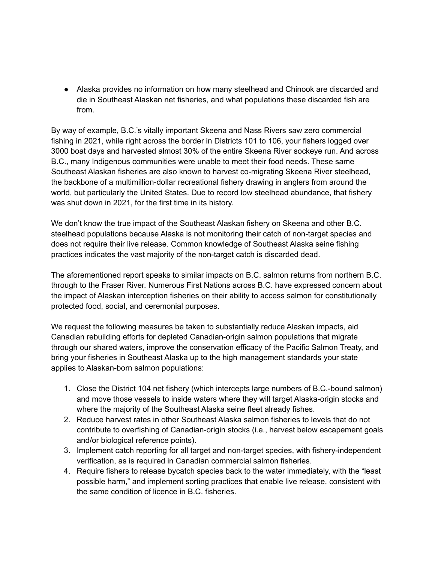● Alaska provides no information on how many steelhead and Chinook are discarded and die in Southeast Alaskan net fisheries, and what populations these discarded fish are from.

By way of example, B.C.'s vitally important Skeena and Nass Rivers saw zero commercial fishing in 2021, while right across the border in Districts 101 to 106, your fishers logged over 3000 boat days and harvested almost 30% of the entire Skeena River sockeye run. And across B.C., many Indigenous communities were unable to meet their food needs. These same Southeast Alaskan fisheries are also known to harvest co-migrating Skeena River steelhead, the backbone of a multimillion-dollar recreational fishery drawing in anglers from around the world, but particularly the United States. Due to record low steelhead abundance, that fishery was shut down in 2021, for the first time in its history.

We don't know the true impact of the Southeast Alaskan fishery on Skeena and other B.C. steelhead populations because Alaska is not monitoring their catch of non-target species and does not require their live release. Common knowledge of Southeast Alaska seine fishing practices indicates the vast majority of the non-target catch is discarded dead.

The aforementioned report speaks to similar impacts on B.C. salmon returns from northern B.C. through to the Fraser River. Numerous First Nations across B.C. have expressed concern about the impact of Alaskan interception fisheries on their ability to access salmon for constitutionally protected food, social, and ceremonial purposes.

We request the following measures be taken to substantially reduce Alaskan impacts, aid Canadian rebuilding efforts for depleted Canadian-origin salmon populations that migrate through our shared waters, improve the conservation efficacy of the Pacific Salmon Treaty, and bring your fisheries in Southeast Alaska up to the high management standards your state applies to Alaskan-born salmon populations:

- 1. Close the District 104 net fishery (which intercepts large numbers of B.C.-bound salmon) and move those vessels to inside waters where they will target Alaska-origin stocks and where the majority of the Southeast Alaska seine fleet already fishes.
- 2. Reduce harvest rates in other Southeast Alaska salmon fisheries to levels that do not contribute to overfishing of Canadian-origin stocks (i.e., harvest below escapement goals and/or biological reference points).
- 3. Implement catch reporting for all target and non-target species, with fishery-independent verification, as is required in Canadian commercial salmon fisheries.
- 4. Require fishers to release bycatch species back to the water immediately, with the "least possible harm," and implement sorting practices that enable live release, consistent with the same condition of licence in B.C. fisheries.